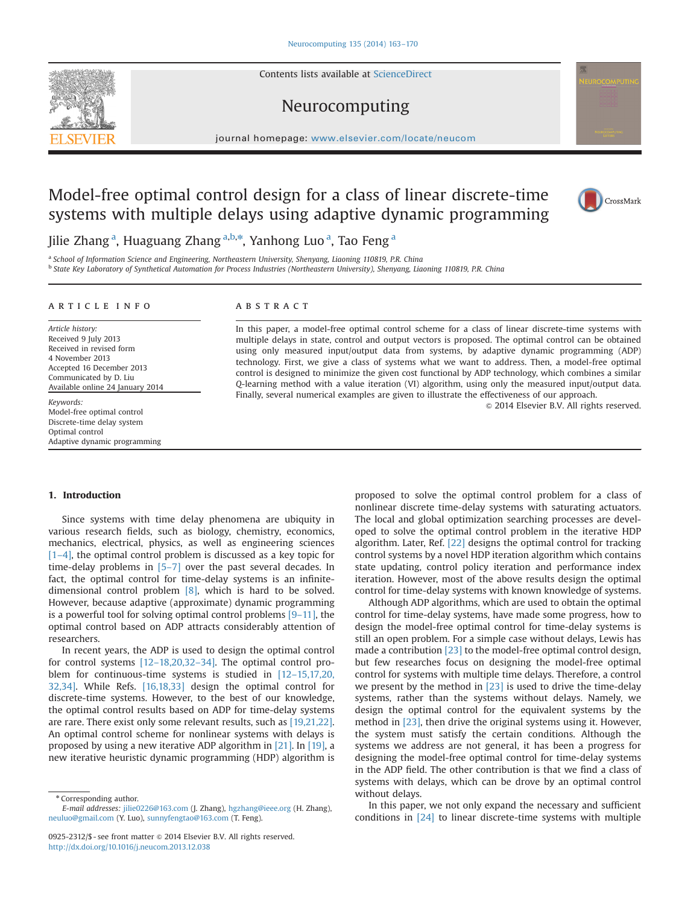Contents lists available at [ScienceDirect](www.sciencedirect.com/science/journal/09252312)

### Neurocomputing

 $j$  is a companion of  $\alpha$  is a companion of  $\alpha$ 

## Model-free optimal control design for a class of linear discrete-time systems with multiple delays using adaptive dynamic programming



Jilie Zhang<sup>a</sup>, Huaguang Zhang<sup>a,b,\*</sup>, Yanhong Luo<sup>a</sup>, Tao Feng<sup>a</sup>

<sup>a</sup> School of Information Science and Engineering, Northeastern University, Shenyang, Liaoning 110819, P.R. China b State Key Laboratory of Synthetical Automation for Process Industries (Northeastern University), Shenyang, Liaoning 110819, P.R. China

#### article info

Article history: Received 9 July 2013 Received in revised form 4 November 2013 Accepted 16 December 2013 Communicated by D. Liu Available online 24 January 2014

Keywords: Model-free optimal control Discrete-time delay system Optimal control Adaptive dynamic programming

#### **ABSTRACT**

In this paper, a model-free optimal control scheme for a class of linear discrete-time systems with multiple delays in state, control and output vectors is proposed. The optimal control can be obtained using only measured input/output data from systems, by adaptive dynamic programming (ADP) technology. First, we give a class of systems what we want to address. Then, a model-free optimal control is designed to minimize the given cost functional by ADP technology, which combines a similar Q-learning method with a value iteration (VI) algorithm, using only the measured input/output data. Finally, several numerical examples are given to illustrate the effectiveness of our approach.

 $\odot$  2014 Elsevier B.V. All rights reserved.

#### 1. Introduction

Since systems with time delay phenomena are ubiquity in various research fields, such as biology, chemistry, economics, mechanics, electrical, physics, as well as engineering sciences [1–4], the optimal control problem is discussed as a key topic for time-delay problems in [5–7] over the past several decades. In fact, the optimal control for time-delay systems is an infinitedimensional control problem [8], which is hard to be solved. However, because adaptive (approximate) dynamic programming is a powerful tool for solving optimal control problems  $[9-11]$ , the optimal control based on ADP attracts considerably attention of researchers.

In recent years, the ADP is used to design the optimal control for control systems [12–18,20,32–34]. The optimal control problem for continuous-time systems is studied in [12–15,17,20, 32,34]. While Refs. [16,18,33] design the optimal control for discrete-time systems. However, to the best of our knowledge, the optimal control results based on ADP for time-delay systems are rare. There exist only some relevant results, such as [19,21,22]. An optimal control scheme for nonlinear systems with delays is proposed by using a new iterative ADP algorithm in [21]. In [19], a new iterative heuristic dynamic programming (HDP) algorithm is

proposed to solve the optimal control problem for a class of nonlinear discrete time-delay systems with saturating actuators. The local and global optimization searching processes are developed to solve the optimal control problem in the iterative HDP algorithm. Later, Ref. [22] designs the optimal control for tracking control systems by a novel HDP iteration algorithm which contains state updating, control policy iteration and performance index iteration. However, most of the above results design the optimal control for time-delay systems with known knowledge of systems.

Although ADP algorithms, which are used to obtain the optimal control for time-delay systems, have made some progress, how to design the model-free optimal control for time-delay systems is still an open problem. For a simple case without delays, Lewis has made a contribution [23] to the model-free optimal control design, but few researches focus on designing the model-free optimal control for systems with multiple time delays. Therefore, a control we present by the method in  $[23]$  is used to drive the time-delay systems, rather than the systems without delays. Namely, we design the optimal control for the equivalent systems by the method in [23], then drive the original systems using it. However, the system must satisfy the certain conditions. Although the systems we address are not general, it has been a progress for designing the model-free optimal control for time-delay systems in the ADP field. The other contribution is that we find a class of systems with delays, which can be drove by an optimal control without delays.

In this paper, we not only expand the necessary and sufficient conditions in [24] to linear discrete-time systems with multiple



<sup>\*</sup> Corresponding author.

E-mail addresses: [jilie0226@163.com](mailto:jilie0226@163.com) (J. Zhang), [hgzhang@ieee.org](mailto:hgzhang@ieee.org) (H. Zhang), [neuluo@gmail.com](mailto:neuluo@gmail.com) (Y. Luo), [sunnyfengtao@163.com](mailto:sunnyfengtao@163.com) (T. Feng).

<sup>0925-2312/\$ -</sup> see front matter  $\odot$  2014 Elsevier B.V. All rights reserved. <http://dx.doi.org/10.1016/j.neucom.2013.12.038>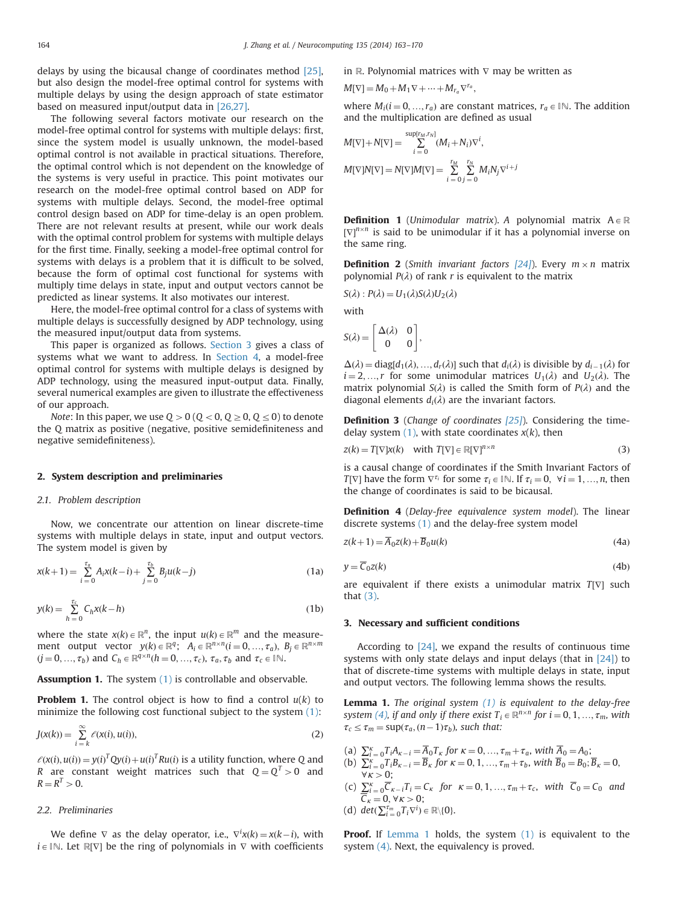delays by using the bicausal change of coordinates method [25], but also design the model-free optimal control for systems with multiple delays by using the design approach of state estimator based on measured input/output data in [26,27].

The following several factors motivate our research on the model-free optimal control for systems with multiple delays: first, since the system model is usually unknown, the model-based optimal control is not available in practical situations. Therefore, the optimal control which is not dependent on the knowledge of the systems is very useful in practice. This point motivates our research on the model-free optimal control based on ADP for systems with multiple delays. Second, the model-free optimal control design based on ADP for time-delay is an open problem. There are not relevant results at present, while our work deals with the optimal control problem for systems with multiple delays for the first time. Finally, seeking a model-free optimal control for systems with delays is a problem that it is difficult to be solved, because the form of optimal cost functional for systems with multiply time delays in state, input and output vectors cannot be predicted as linear systems. It also motivates our interest.

Here, the model-free optimal control for a class of systems with multiple delays is successfully designed by ADP technology, using the measured input/output data from systems.

This paper is organized as follows. Section 3 gives a class of systems what we want to address. In Section 4, a model-free optimal control for systems with multiple delays is designed by ADP technology, using the measured input-output data. Finally, several numerical examples are given to illustrate the effectiveness of our approach.

Note: In this paper, we use  $Q > 0$  ( $Q < 0$ ,  $Q \ge 0$ ,  $Q \le 0$ ) to denote the Q matrix as positive (negative, positive semidefiniteness and negative semidefiniteness).

#### 2. System description and preliminaries

#### 2.1. Problem description

Now, we concentrate our attention on linear discrete-time systems with multiple delays in state, input and output vectors. The system model is given by

$$
x(k+1) = \sum_{i=0}^{\tau_a} A_i x(k-i) + \sum_{j=0}^{\tau_b} B_j u(k-j)
$$
 (1a)

$$
y(k) = \sum_{h=0}^{\tau_c} C_h x(k-h)
$$
 (1b)

where the state  $x(k) \in \mathbb{R}^n$ , the input  $u(k) \in \mathbb{R}^m$  and the measurement output vector  $y(k) \in \mathbb{R}^q$ ;  $A_i \in \mathbb{R}^{n \times n}$  $(i = 0, ..., \tau_a), B_i \in \mathbb{R}^{n \times m}$  $(j = 0, ..., \tau_b)$  and  $C_h \in \mathbb{R}^{q \times n}$   $(h = 0, ..., \tau_c)$ ,  $\tau_a$ ,  $\tau_b$  and  $\tau_c \in \mathbb{N}$ .

Assumption 1. The system (1) is controllable and observable.

**Problem 1.** The control object is how to find a control  $u(k)$  to minimize the following cost functional subject to the system (1):

$$
J(x(k)) = \sum_{i=k}^{\infty} \ell(x(i), u(i)),
$$
\n(2)

 $\ell(x(i), u(i)) = y(i)^T Qy(i) + u(i)^T R u(i)$  is a utility function, where Q and  $P$  are constant, weight, matrices, such that  $Q - Q^T \ge 0$  and R are constant weight matrices such that  $Q = Q<sup>T</sup> > 0$  and  $R = R^T > 0.$ 

#### 2.2. Preliminaries

We define  $\nabla$  as the delay operator, i.e.,  $\nabla^i x(k) = x(k-i)$ , with  $\text{Let } \mathbb{P}[\nabla^j]$  be the ring of polynomials in  $\nabla$  with coefficients  $i \in \mathbb{N}$ . Let  $\mathbb{R}[\nabla]$  be the ring of polynomials in  $\nabla$  with coefficients in R. Polynomial matrices with  $\nabla$  may be written as

$$
M[\nabla] = M_0 + M_1 \nabla + \dots + M_{r_a} \nabla^{r_a},
$$

where  $M_i(i = 0, ..., r_a)$  are constant matrices,  $r_a \in \mathbb{N}$ . The addition and the multiplication are defined as usual

$$
M[\nabla] + N[\nabla] = \sum_{i=0}^{\text{sup}[r_M, r_N]} (M_i + N_i) \nabla^i,
$$
  

$$
M[\nabla]N[\nabla] = N[\nabla]M[\nabla] = \sum_{i=0}^{r_M} \sum_{j=0}^{r_N} M_i N_j \nabla^{i+j}
$$

**Definition 1** (Unimodular matrix). A polynomial matrix  $A \in \mathbb{R}$  $[\nabla]^{n \times n}$  is said to be unimodular if it has a polynomial inverse on the same ring the same ring.

**Definition 2** (Smith invariant factors  $[24]$ ). Every  $m \times n$  matrix polynomial  $P(\lambda)$  of rank r is equivalent to the matrix

$$
S(\lambda): P(\lambda) = U_1(\lambda)S(\lambda)U_2(\lambda)
$$

with

$$
S(\lambda)=\left[\begin{matrix}\Delta(\lambda)&0\\0&0\end{matrix}\right],
$$

 $\Delta(\lambda) = \text{diag}[d_1(\lambda), ..., d_r(\lambda)]$  such that  $d_i(\lambda)$  is divisible by  $d_{i-1}(\lambda)$  for  $i-2$  in for some unimodular matrices  $[L(\lambda), \text{ and } L(\lambda)]$ . The  $i = 2, ..., r$  for some unimodular matrices  $U_1(\lambda)$  and  $U_2(\lambda)$ . The matrix polynomial  $S(\lambda)$  is called the Smith form of  $P(\lambda)$  and the diagonal elements  $d_i(\lambda)$  are the invariant factors.

**Definition 3** (Change of coordinates [25]). Considering the timedelay system  $(1)$ , with state coordinates  $x(k)$ , then

$$
z(k) = T[\nabla]x(k) \quad \text{with } T[\nabla] \in \mathbb{R}[\nabla]^{n \times n}
$$
\n(3)

is a causal change of coordinates if the Smith Invariant Factors of  $T[\nabla]$  have the form  $\nabla^{\tau_i}$  for some  $\tau_i \in \mathbb{N}$ . If  $\tau_i = 0, \forall i = 1, ..., n$ , then the change of coordinates is said to be bicausal.

Definition 4 (Delay-free equivalence system model). The linear discrete systems (1) and the delay-free system model

$$
z(k+1) = \overline{A}_0 z(k) + \overline{B}_0 u(k)
$$
\n(4a)

$$
y = \overline{C}_0 z(k) \tag{4b}
$$

are equivalent if there exists a unimodular matrix  $T[\nabla]$  such that (3).

#### 3. Necessary and sufficient conditions

According to [24], we expand the results of continuous time systems with only state delays and input delays (that in [24]) to that of discrete-time systems with multiple delays in state, input and output vectors. The following lemma shows the results.

**Lemma 1.** The original system  $(1)$  is equivalent to the delay-free system (4), if and only if there exist  $T_i \in \mathbb{R}^{n \times n}$  for  $i = 0, 1, ..., \tau_m$ , with  $\tau_c \leq \tau_m = \sup(\tau_a, (n-1)\tau_b)$ , such that:

- 
- (a)  $\sum_{i=0}^{K} T_i A_{K-i} = \overline{A}_0 T_K$  for  $\kappa = 0, ..., \tau_m + \tau_a$ , with  $\overline{A}_0 = A_0$ ;<br>
(b)  $\sum_{i=0}^{K} T_i B_{K-i} = \overline{B}_K$  for  $\kappa = 0, 1, ..., \tau_m + \tau_b$ , with  $\overline{B}_0 = B_0$ ;  $\overline{B}_K = 0$ ,
- $\forall k > 0;$ <br>
(c)  $\sum_{i=0}^{k} \overline{C_{k-i}} T_i = C_k$  for  $\kappa = 0, 1, ..., \tau_m + \tau_c$ , with  $\overline{C_0} = C_0$  and  $\overline{C}_k = 0, \forall k > 0;$ <br>det $(\nabla^{\tau_m} T_{\nu} \nabla^i)$
- (d)  $det(\sum_{i=0}^{T_m} T_i \nabla^i) \in \mathbb{R} \setminus \{0\}.$

Proof. If Lemma 1 holds, the system (1) is equivalent to the system  $(4)$ . Next, the equivalency is proved.